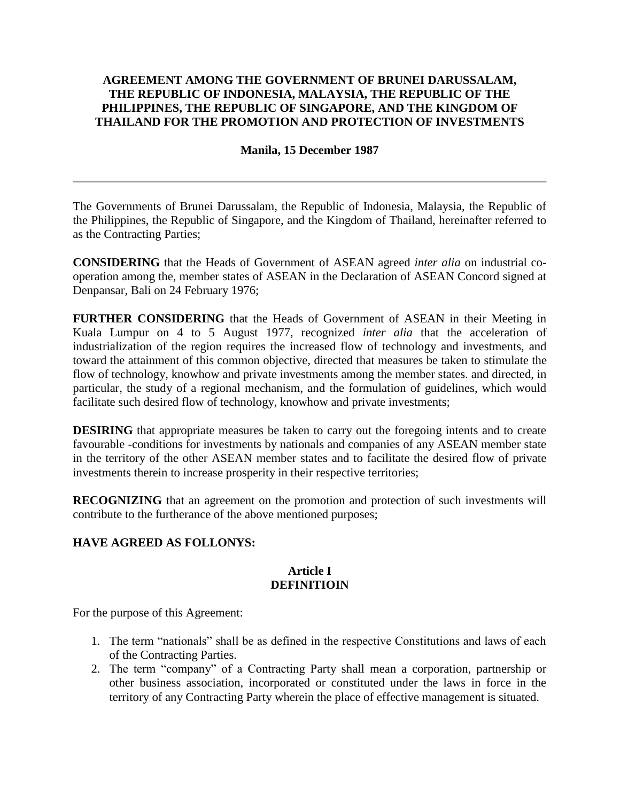# **AGREEMENT AMONG THE GOVERNMENT OF BRUNEI DARUSSALAM, THE REPUBLIC OF INDONESIA, MALAYSIA, THE REPUBLIC OF THE PHILIPPINES, THE REPUBLIC OF SINGAPORE, AND THE KINGDOM OF THAILAND FOR THE PROMOTION AND PROTECTION OF INVESTMENTS**

### **Manila, 15 December 1987**

The Governments of Brunei Darussalam, the Republic of Indonesia, Malaysia, the Republic of the Philippines, the Republic of Singapore, and the Kingdom of Thailand, hereinafter referred to as the Contracting Parties;

**CONSIDERING** that the Heads of Government of ASEAN agreed *inter alia* on industrial cooperation among the, member states of ASEAN in the Declaration of ASEAN Concord signed at Denpansar, Bali on 24 February 1976;

**FURTHER CONSIDERING** that the Heads of Government of ASEAN in their Meeting in Kuala Lumpur on 4 to 5 August 1977, recognized *inter alia* that the acceleration of industrialization of the region requires the increased flow of technology and investments, and toward the attainment of this common objective, directed that measures be taken to stimulate the flow of technology, knowhow and private investments among the member states. and directed, in particular, the study of a regional mechanism, and the formulation of guidelines, which would facilitate such desired flow of technology, knowhow and private investments;

**DESIRING** that appropriate measures be taken to carry out the foregoing intents and to create favourable -conditions for investments by nationals and companies of any ASEAN member state in the territory of the other ASEAN member states and to facilitate the desired flow of private investments therein to increase prosperity in their respective territories;

**RECOGNIZING** that an agreement on the promotion and protection of such investments will contribute to the furtherance of the above mentioned purposes;

#### **HAVE AGREED AS FOLLONYS:**

#### **Article I DEFINITIOIN**

For the purpose of this Agreement:

- 1. The term "nationals" shall be as defined in the respective Constitutions and laws of each of the Contracting Parties.
- 2. The term "company" of a Contracting Party shall mean a corporation, partnership or other business association, incorporated or constituted under the laws in force in the territory of any Contracting Party wherein the place of effective management is situated.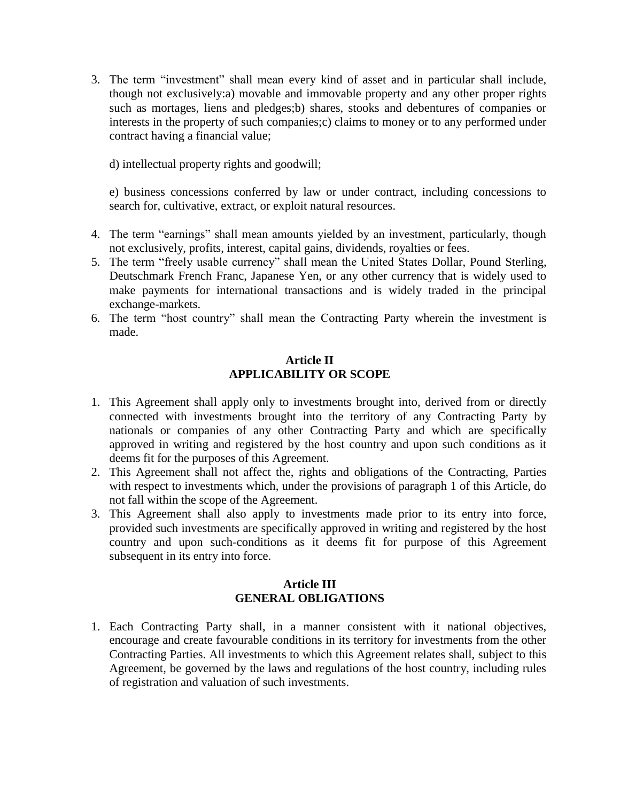- 3. The term "investment" shall mean every kind of asset and in particular shall include, though not exclusively:a) movable and immovable property and any other proper rights such as mortages, liens and pledges;b) shares, stooks and debentures of companies or interests in the property of such companies;c) claims to money or to any performed under contract having a financial value;
	- d) intellectual property rights and goodwill;

e) business concessions conferred by law or under contract, including concessions to search for, cultivative, extract, or exploit natural resources.

- 4. The term "earnings" shall mean amounts yielded by an investment, particularly, though not exclusively, profits, interest, capital gains, dividends, royalties or fees.
- 5. The term "freely usable currency" shall mean the United States Dollar, Pound Sterling, Deutschmark French Franc, Japanese Yen, or any other currency that is widely used to make payments for international transactions and is widely traded in the principal exchange-markets.
- 6. The term "host country" shall mean the Contracting Party wherein the investment is made.

#### **Article II APPLICABILITY OR SCOPE**

- 1. This Agreement shall apply only to investments brought into, derived from or directly connected with investments brought into the territory of any Contracting Party by nationals or companies of any other Contracting Party and which are specifically approved in writing and registered by the host country and upon such conditions as it deems fit for the purposes of this Agreement.
- 2. This Agreement shall not affect the, rights and obligations of the Contracting, Parties with respect to investments which, under the provisions of paragraph 1 of this Article, do not fall within the scope of the Agreement.
- 3. This Agreement shall also apply to investments made prior to its entry into force, provided such investments are specifically approved in writing and registered by the host country and upon such-conditions as it deems fit for purpose of this Agreement subsequent in its entry into force.

# **Article III GENERAL OBLIGATIONS**

1. Each Contracting Party shall, in a manner consistent with it national objectives, encourage and create favourable conditions in its territory for investments from the other Contracting Parties. All investments to which this Agreement relates shall, subject to this Agreement, be governed by the laws and regulations of the host country, including rules of registration and valuation of such investments.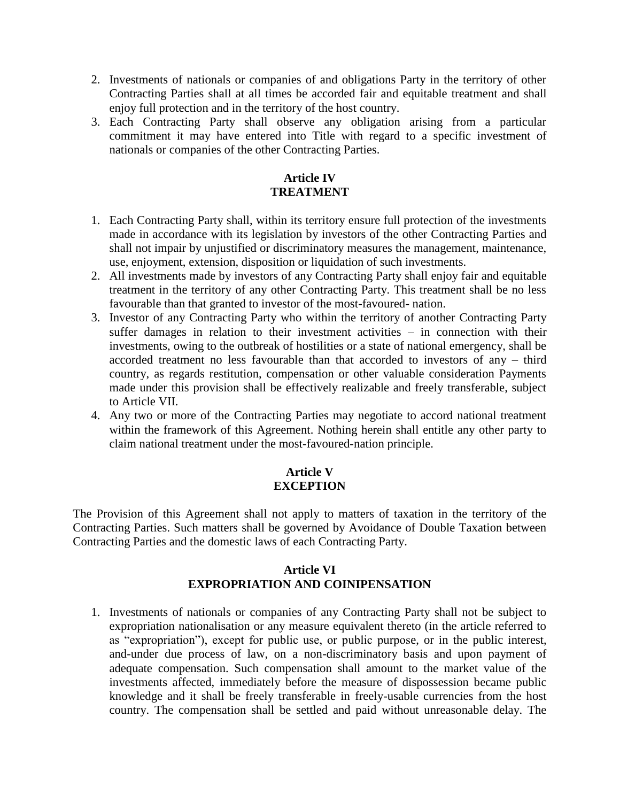- 2. Investments of nationals or companies of and obligations Party in the territory of other Contracting Parties shall at all times be accorded fair and equitable treatment and shall enjoy full protection and in the territory of the host country.
- 3. Each Contracting Party shall observe any obligation arising from a particular commitment it may have entered into Title with regard to a specific investment of nationals or companies of the other Contracting Parties.

# **Article IV TREATMENT**

- 1. Each Contracting Party shall, within its territory ensure full protection of the investments made in accordance with its legislation by investors of the other Contracting Parties and shall not impair by unjustified or discriminatory measures the management, maintenance, use, enjoyment, extension, disposition or liquidation of such investments.
- 2. All investments made by investors of any Contracting Party shall enjoy fair and equitable treatment in the territory of any other Contracting Party. This treatment shall be no less favourable than that granted to investor of the most-favoured- nation.
- 3. Investor of any Contracting Party who within the territory of another Contracting Party suffer damages in relation to their investment activities – in connection with their investments, owing to the outbreak of hostilities or a state of national emergency, shall be accorded treatment no less favourable than that accorded to investors of any – third country, as regards restitution, compensation or other valuable consideration Payments made under this provision shall be effectively realizable and freely transferable, subject to Article VII.
- 4. Any two or more of the Contracting Parties may negotiate to accord national treatment within the framework of this Agreement. Nothing herein shall entitle any other party to claim national treatment under the most-favoured-nation principle.

# **Article V EXCEPTION**

The Provision of this Agreement shall not apply to matters of taxation in the territory of the Contracting Parties. Such matters shall be governed by Avoidance of Double Taxation between Contracting Parties and the domestic laws of each Contracting Party.

# **Article VI EXPROPRIATION AND COINIPENSATION**

1. Investments of nationals or companies of any Contracting Party shall not be subject to expropriation nationalisation or any measure equivalent thereto (in the article referred to as "expropriation"), except for public use, or public purpose, or in the public interest, and-under due process of law, on a non-discriminatory basis and upon payment of adequate compensation. Such compensation shall amount to the market value of the investments affected, immediately before the measure of dispossession became public knowledge and it shall be freely transferable in freely-usable currencies from the host country. The compensation shall be settled and paid without unreasonable delay. The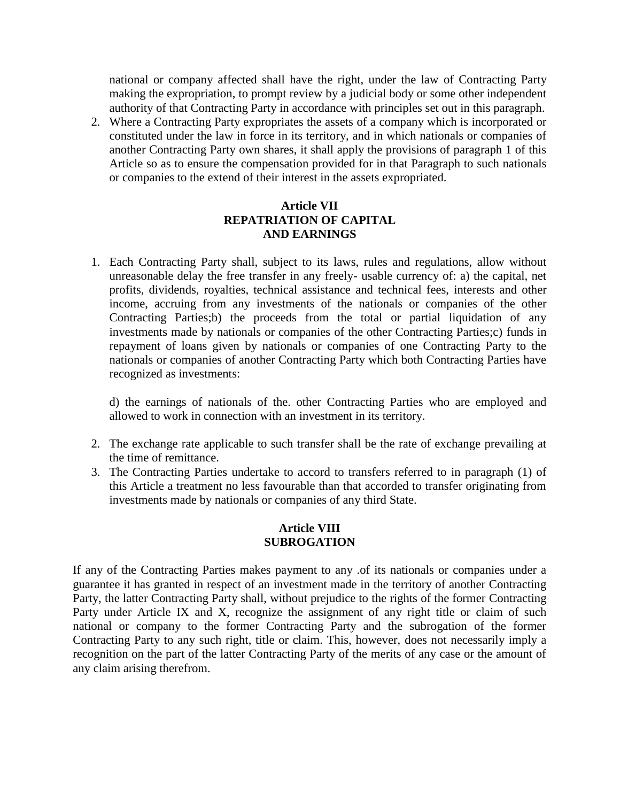national or company affected shall have the right, under the law of Contracting Party making the expropriation, to prompt review by a judicial body or some other independent authority of that Contracting Party in accordance with principles set out in this paragraph.

2. Where a Contracting Party expropriates the assets of a company which is incorporated or constituted under the law in force in its territory, and in which nationals or companies of another Contracting Party own shares, it shall apply the provisions of paragraph 1 of this Article so as to ensure the compensation provided for in that Paragraph to such nationals or companies to the extend of their interest in the assets expropriated.

# **Article VII REPATRIATION OF CAPITAL AND EARNINGS**

1. Each Contracting Party shall, subject to its laws, rules and regulations, allow without unreasonable delay the free transfer in any freely- usable currency of: a) the capital, net profits, dividends, royalties, technical assistance and technical fees, interests and other income, accruing from any investments of the nationals or companies of the other Contracting Parties;b) the proceeds from the total or partial liquidation of any investments made by nationals or companies of the other Contracting Parties;c) funds in repayment of loans given by nationals or companies of one Contracting Party to the nationals or companies of another Contracting Party which both Contracting Parties have recognized as investments:

d) the earnings of nationals of the. other Contracting Parties who are employed and allowed to work in connection with an investment in its territory.

- 2. The exchange rate applicable to such transfer shall be the rate of exchange prevailing at the time of remittance.
- 3. The Contracting Parties undertake to accord to transfers referred to in paragraph (1) of this Article a treatment no less favourable than that accorded to transfer originating from investments made by nationals or companies of any third State.

#### **Article VIII SUBROGATION**

If any of the Contracting Parties makes payment to any .of its nationals or companies under a guarantee it has granted in respect of an investment made in the territory of another Contracting Party, the latter Contracting Party shall, without prejudice to the rights of the former Contracting Party under Article IX and X, recognize the assignment of any right title or claim of such national or company to the former Contracting Party and the subrogation of the former Contracting Party to any such right, title or claim. This, however, does not necessarily imply a recognition on the part of the latter Contracting Party of the merits of any case or the amount of any claim arising therefrom.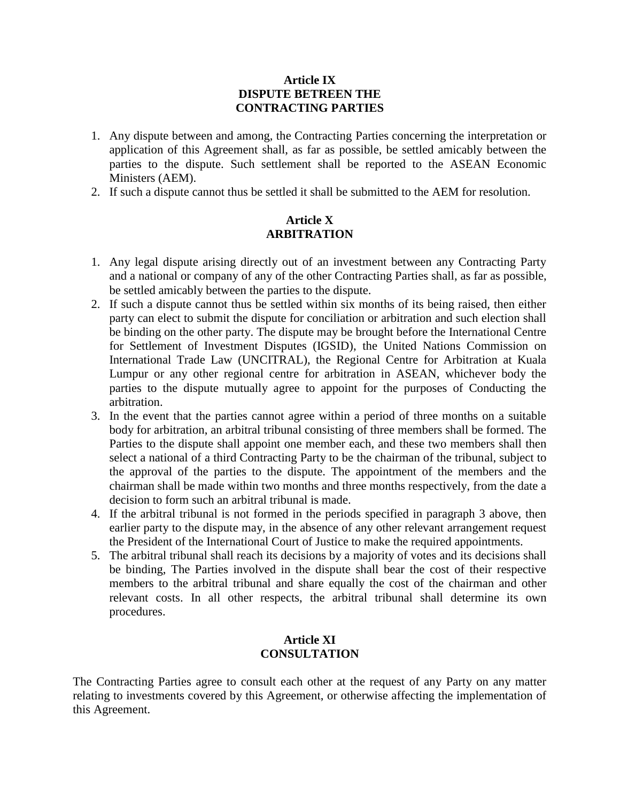# **Article IX DISPUTE BETREEN THE CONTRACTING PARTIES**

- 1. Any dispute between and among, the Contracting Parties concerning the interpretation or application of this Agreement shall, as far as possible, be settled amicably between the parties to the dispute. Such settlement shall be reported to the ASEAN Economic Ministers (AEM).
- 2. If such a dispute cannot thus be settled it shall be submitted to the AEM for resolution.

# **Article X ARBITRATION**

- 1. Any legal dispute arising directly out of an investment between any Contracting Party and a national or company of any of the other Contracting Parties shall, as far as possible, be settled amicably between the parties to the dispute.
- 2. If such a dispute cannot thus be settled within six months of its being raised, then either party can elect to submit the dispute for conciliation or arbitration and such election shall be binding on the other party. The dispute may be brought before the International Centre for Settlement of Investment Disputes (IGSID), the United Nations Commission on International Trade Law (UNCITRAL), the Regional Centre for Arbitration at Kuala Lumpur or any other regional centre for arbitration in ASEAN, whichever body the parties to the dispute mutually agree to appoint for the purposes of Conducting the arbitration.
- 3. In the event that the parties cannot agree within a period of three months on a suitable body for arbitration, an arbitral tribunal consisting of three members shall be formed. The Parties to the dispute shall appoint one member each, and these two members shall then select a national of a third Contracting Party to be the chairman of the tribunal, subject to the approval of the parties to the dispute. The appointment of the members and the chairman shall be made within two months and three months respectively, from the date a decision to form such an arbitral tribunal is made.
- 4. If the arbitral tribunal is not formed in the periods specified in paragraph 3 above, then earlier party to the dispute may, in the absence of any other relevant arrangement request the President of the International Court of Justice to make the required appointments.
- 5. The arbitral tribunal shall reach its decisions by a majority of votes and its decisions shall be binding, The Parties involved in the dispute shall bear the cost of their respective members to the arbitral tribunal and share equally the cost of the chairman and other relevant costs. In all other respects, the arbitral tribunal shall determine its own procedures.

# **Article XI CONSULTATION**

The Contracting Parties agree to consult each other at the request of any Party on any matter relating to investments covered by this Agreement, or otherwise affecting the implementation of this Agreement.